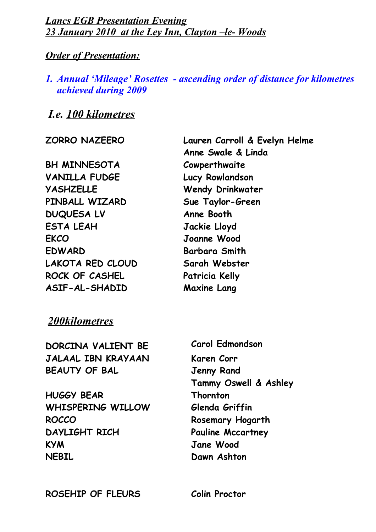*Lancs EGB Presentation Evening 23 January 2010 at the Ley Inn, Clayton –le- Woods*

#### *Order of Presentation:*

#### *1. Annual 'Mileage' Rosettes - ascending order of distance for kilometres achieved during 2009*

### *I.e. 100 kilometres*

**BH MINNESOTA VANILLA FUDGE Lucy Rowlandson YASHZELLE Wendy Drinkwater PINBALL WIZARD Sue Taylor-Green DUQUESA LV Anne Booth ESTA LEAH Jackie Lloyd EKCO Joanne Wood EDWARD Barbara Smith LAKOTA RED CLOUD Sarah Webster ROCK OF CASHEL Patricia Kelly ASIF-AL-SHADID Maxine Lang**

**ZORRO NAZEERO Lauren Carroll & Evelyn Helme Anne Swale & Linda Cowperthwaite**

#### *200kilometres*

**DORCINA VALIENT BE Carol Edmondson JALAAL IBN KRAYAAN Karen Corr BEAUTY OF BAL Jenny Rand HUGGY BEAR Tammy Oswell & Ashley Thornton WHISPERING WILLOW Glenda Griffin ROCCO Rosemary Hogarth DAYLIGHT RICH Pauline Mccartney KYM Jane Wood NEBIL Dawn Ashton**

**ROSEHIP OF FLEURS Colin Proctor**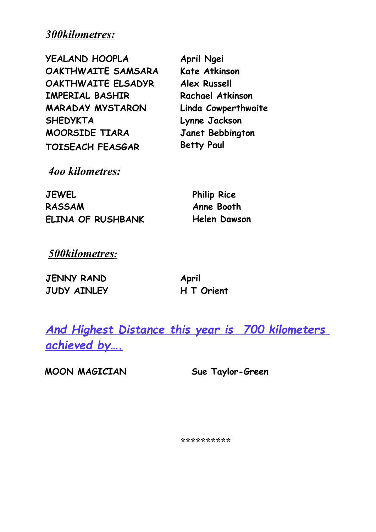## *300kilometres:*

| <b>YEALAND HOOPLA</b>   | April Ngei              |
|-------------------------|-------------------------|
| OAKTHWAITE SAMSARA      | <b>Kate Atkinson</b>    |
| OAKTHWAITE ELSADYR      | <b>Alex Russell</b>     |
| <b>IMPERIAL BASHIR</b>  | <b>Rachael Atkinson</b> |
| <b>MARADAY MYSTARON</b> | Linda Cowperthwaite     |
| <b>SHEDYKTA</b>         | Lynne Jackson           |
| MOORSIDE TIARA          | Janet Bebbington        |
| <b>TOISEACH FEASGAR</b> | <b>Betty Paul</b>       |

 *4oo kilometres:*

**JEWEL Philip Rice RASSAM Anne Booth ELINA OF RUSHBANK Helen Dawson**

 *500kilometres:*

| <b>JENNY RAND</b> | April      |
|-------------------|------------|
| JUDY AINLEY       | H T Orient |

*And Highest Distance this year is 700 kilometers achieved by….*

**MOON MAGICIAN Sue Taylor-Green**

*\*\*\*\*\*\*\*\*\*\**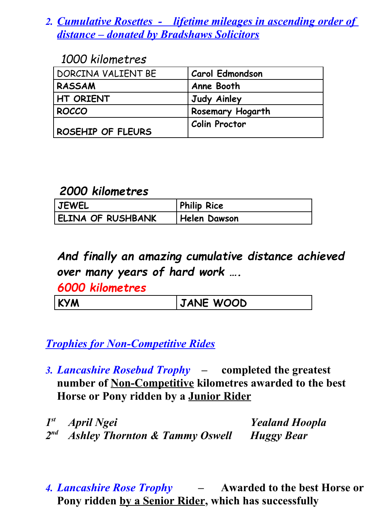# *2. Cumulative Rosettes - lifetime mileages in ascending order of distance – donated by Bradshaws Solicitors*

### *1000 kilometres*

| DORCINA VALIENT BE | <b>Carol Edmondson</b>  |
|--------------------|-------------------------|
| <b>RASSAM</b>      | Anne Booth              |
| HT ORIENT          | Judy Ainley             |
| ROCCO              | <b>Rosemary Hogarth</b> |
| ROSEHIP OF FLEURS  | <b>Colin Proctor</b>    |

## *2000 kilometres*

| <b>JEWEL</b>             | <b>Philip Rice</b>  |
|--------------------------|---------------------|
| <b>ELINA OF RUSHBANK</b> | <b>Helen Dawson</b> |

# *And finally an amazing cumulative distance achieved over many years of hard work ….*

*6000 kilometres*

# *Trophies for Non-Competitive Rides*

*3. Lancashire Rosebud Trophy –* **completed the greatest number of Non-Competitive kilometres awarded to the best Horse or Pony ridden by a Junior Rider**

1<sup>st</sup> April Ngei *st April Ngei Yealand Hoopla 2 nd Ashley Thornton & Tammy Oswell Huggy Bear*

*4. Lancashire Rose Trophy –* **Awarded to the best Horse or Pony ridden by a Senior Rider, which has successfully**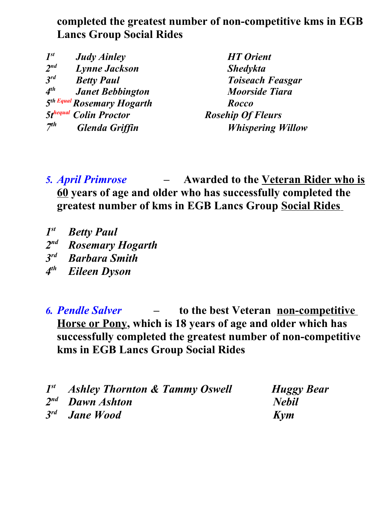## **completed the greatest number of non-competitive kms in EGB Lancs Group Social Rides**

| $I^{st}$        | <b>Judy Ainley</b>                     | <b>HT</b> Orient         |
|-----------------|----------------------------------------|--------------------------|
| $2^{nd}$        | <b>Lynne Jackson</b>                   | <b>Shedykta</b>          |
| $3^{rd}$        | <b>Betty Paul</b>                      | <b>Toiseach Feasgar</b>  |
| 4 <sup>th</sup> | <b>Janet Bebbington</b>                | <b>Moorside Tiara</b>    |
|                 | 5 <sup>th Equal</sup> Rosemary Hogarth | Rocco                    |
|                 | <b>5thequal Colin Proctor</b>          | <b>Rosehip Of Fleurs</b> |
| 7 <sup>th</sup> | <b>Glenda Griffin</b>                  | <b>Whispering Willow</b> |

*5. April Primrose –* **Awarded to the Veteran Rider who is 60 years of age and older who has successfully completed the greatest number of kms in EGB Lancs Group Social Rides**

- *1 Betty Paul*
- *2 nd Rosemary Hogarth*
- *3 Barbara Smith*
- *4 Eileen Dyson*

*6. Pendle Salver –* **to the best Veteran non-competitive Horse or Pony, which is 18 years of age and older which has successfully completed the greatest number of non-competitive kms in EGB Lancs Group Social Rides**

| 1st Ashley Thornton & Tammy Oswell | Hugg         |
|------------------------------------|--------------|
| $2^{nd}$ Dawn Ashton               | <b>Nebil</b> |
| 3 <sup>rd</sup> Jane Wood          | Kym          |

**Huggy Bear**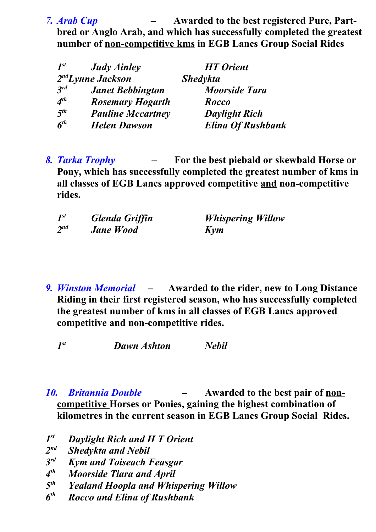*7. Arab Cup –* **Awarded to the best registered Pure, Partbred or Anglo Arab, and which has successfully completed the greatest number of non-competitive kms in EGB Lancs Group Social Rides**

| $I^{st}$ | <b>Judy Ainley</b>            | <b>HT</b> Orient         |
|----------|-------------------------------|--------------------------|
|          | 2 <sup>nd</sup> Lynne Jackson | <b>Shedykta</b>          |
| $3^{rd}$ | <b>Janet Bebbington</b>       | <b>Moorside Tara</b>     |
| $4^{th}$ | <b>Rosemary Hogarth</b>       | Rocco                    |
| $5^{th}$ | <b>Pauline Mccartney</b>      | <b>Daylight Rich</b>     |
| $6^{th}$ | <b>Helen Dawson</b>           | <b>Elina Of Rushbank</b> |

*8. Tarka Trophy –* **For the best piebald or skewbald Horse or Pony, which has successfully completed the greatest number of kms in all classes of EGB Lancs approved competitive and non-competitive rides.**

| $I^{st}$ | Glenda Griffin   | <b>Whispering Willow</b> |
|----------|------------------|--------------------------|
| $2^{nd}$ | <b>Jane Wood</b> | Kym                      |

*9. Winston Memorial –* **Awarded to the rider, new to Long Distance Riding in their first registered season, who has successfully completed the greatest number of kms in all classes of EGB Lancs approved competitive and non-competitive rides.** 

*1 Dawn Ashton Nebil* 

*10. Britannia Double –* **Awarded to the best pair of noncompetitive Horses or Ponies, gaining the highest combination of kilometres in the current season in EGB Lancs Group Social Rides.** 

- *1 Daylight Rich and H T Orient*
- $2<sup>nd</sup>$ *Shedykta and Nebil*
- *3 Kym and Toiseach Feasgar*
- *4 th Moorside Tiara and April*
- *5 th Yealand Hoopla and Whispering Willow*
- *6 th Rocco and Elina of Rushbank*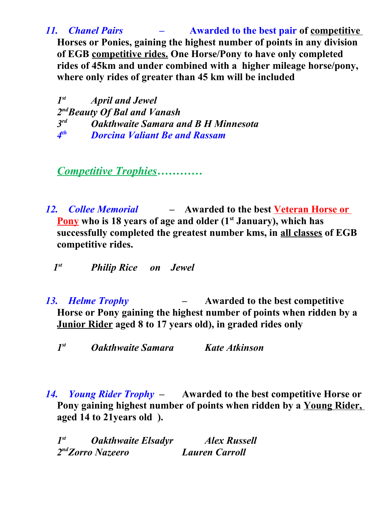*11. Chanel Pairs –* **Awarded to the best pair of competitive Horses or Ponies, gaining the highest number of points in any division of EGB competitive rides. One Horse/Pony to have only completed rides of 45km and under combined with a higher mileage horse/pony, where only rides of greater than 45 km will be included**

*1 st April and Jewel 2 ndBeauty Of Bal and Vanash 3 rd Oakthwaite Samara and B H Minnesota 4 th Dorcina Valiant Be and Rassam*

*Competitive Trophies…………*

*12. Collee Memorial –* **Awarded to the best Veteran Horse or Pony who is 18 years of age and older (1st January), which has successfully completed the greatest number kms, in all classes of EGB competitive rides.** 

 *1st Philip Rice on Jewel*

- *13. Helme Trophy* **Awarded to the best competitive Horse or Pony gaining the highest number of points when ridden by a Junior Rider aged 8 to 17 years old), in graded rides only**
	- *1 st Oakthwaite Samara Kate Atkinson*
- *14. Young Rider Trophy* **Awarded to the best competitive Horse or Pony gaining highest number of points when ridden by a Young Rider, aged 14 to 21years old ).**

| $I^{st}$ | <b>Oakthwaite Elsadyr</b>     | <b>Alex Russell</b>   |
|----------|-------------------------------|-----------------------|
|          | 2 <sup>nd</sup> Zorro Nazeero | <b>Lauren Carroll</b> |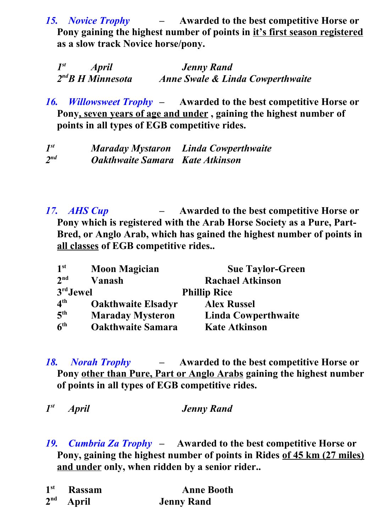*15. Novice Trophy –* **Awarded to the best competitive Horse or Pony gaining the highest number of points in it's first season registered as a slow track Novice horse/pony.** 

| $I^{st}$<br><b>April</b> | <b>Jenny Rand</b>                           |
|--------------------------|---------------------------------------------|
| $2^{nd}B$ H Minnesota    | <b>Anne Swale &amp; Linda Cowperthwaite</b> |

*16. Willowsweet Trophy –* **Awarded to the best competitive Horse or Pony, seven years of age and under , gaining the highest number of points in all types of EGB competitive rides.** 

*1 st Maraday Mystaron Linda Cowperthwaite 2 nd Oakthwaite Samara Kate Atkinson*

*17. AHS Cup –* **Awarded to the best competitive Horse or Pony which is registered with the Arab Horse Society as a Pure, Part-Bred, or Anglo Arab, which has gained the highest number of points in all classes of EGB competitive rides..** 

| 1 <sup>st</sup>                | <b>Moon Magician</b>      | <b>Sue Taylor-Green</b> |
|--------------------------------|---------------------------|-------------------------|
| 2 <sub>nd</sub>                | Vanash                    | <b>Rachael Atkinson</b> |
| 3rd Jewel                      |                           | <b>Phillip Rice</b>     |
| $\mathbf{\Lambda}^{\text{th}}$ | <b>Oakthwaite Elsadyr</b> | <b>Alex Russel</b>      |
| 5 <sup>th</sup>                | <b>Maraday Mysteron</b>   | Linda Cowperthwaite     |
| 6 <sup>th</sup>                | <b>Oakthwaite Samara</b>  | <b>Kate Atkinson</b>    |

- *18. Norah Trophy* **Awarded to the best competitive Horse or Pony other than Pure, Part or Anglo Arabs gaining the highest number of points in all types of EGB competitive rides.**
- *1 st April Jenny Rand*
- *19. Cumbria Za Trophy* **Awarded to the best competitive Horse or**  Pony, gaining the highest number of points in Rides of 45 km (27 miles) **and under only, when ridden by a senior rider..**

| $1st$ Rassam | <b>Anne Booth</b> |
|--------------|-------------------|
| $2nd$ April  | <b>Jenny Rand</b> |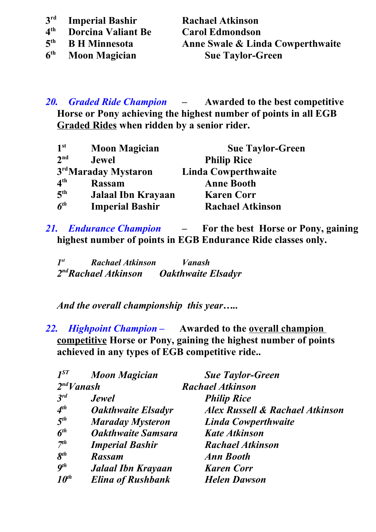- 3<sup>rd</sup> **rd Imperial Bashir Rachael Atkinson**
- **4 th Dorcina Valiant Be Carol Edmondson**
- **5**
- **6**

**th B H Minnesota Anne Swale & Linda Cowperthwaite th Moon Magician Sue Taylor-Green**

*20. Graded Ride Champion –* **Awarded to the best competitive Horse or Pony achieving the highest number of points in all EGB Graded Rides when ridden by a senior rider.** 

| 1 <sup>st</sup> | <b>Moon Magician</b>   | <b>Sue Taylor-Green</b>    |
|-----------------|------------------------|----------------------------|
| 2 <sup>nd</sup> | <b>Jewel</b>           | <b>Philip Rice</b>         |
|                 | 3rdMaraday Mystaron    | <b>Linda Cowperthwaite</b> |
| 4 <sup>th</sup> | <b>Rassam</b>          | <b>Anne Booth</b>          |
| 5 <sup>th</sup> | Jalaal Ibn Krayaan     | <b>Karen Corr</b>          |
| 6 <sup>th</sup> | <b>Imperial Bashir</b> | <b>Rachael Atkinson</b>    |

*21. Endurance Champion –* **For the best Horse or Pony, gaining highest number of points in EGB Endurance Ride classes only.** 

| $I^{st}$ | <b>Rachael Atkinson</b>          | Vanash                    |
|----------|----------------------------------|---------------------------|
|          | 2 <sup>nd</sup> Rachael Atkinson | <b>Oakthwaite Elsadyr</b> |

*And the overall championship this year…..*

*22. Highpoint Champion –* **Awarded to the overall champion competitive Horse or Pony, gaining the highest number of points achieved in any types of EGB competitive ride..**

| $I^{ST}$                   | <b>Moon Magician</b>      | <b>Sue Taylor-Green</b>                    |
|----------------------------|---------------------------|--------------------------------------------|
| $2^{nd}V$ anash            |                           | <b>Rachael Atkinson</b>                    |
| $3^{rd}$                   | <b>Jewel</b>              | <b>Philip Rice</b>                         |
| $4^{th}$                   | <b>Oakthwaite Elsadyr</b> | <b>Alex Russell &amp; Rachael Atkinson</b> |
| 5 <sup>th</sup>            | <b>Maraday Mysteron</b>   | <b>Linda Cowperthwaite</b>                 |
| $\boldsymbol{6}^{th}$      | <b>Oakthwaite Samsara</b> | <b>Kate Atkinson</b>                       |
| 7 <sup>th</sup>            | <b>Imperial Bashir</b>    | <b>Rachael Atkinson</b>                    |
| $\boldsymbol{\delta}^{th}$ | <b>Rassam</b>             | <b>Ann Booth</b>                           |
| $q^{th}$                   | <b>Jalaal Ibn Krayaan</b> | <b>Karen Corr</b>                          |
| $10^{th}$                  | <b>Elina of Rushbank</b>  | <b>Helen Dawson</b>                        |